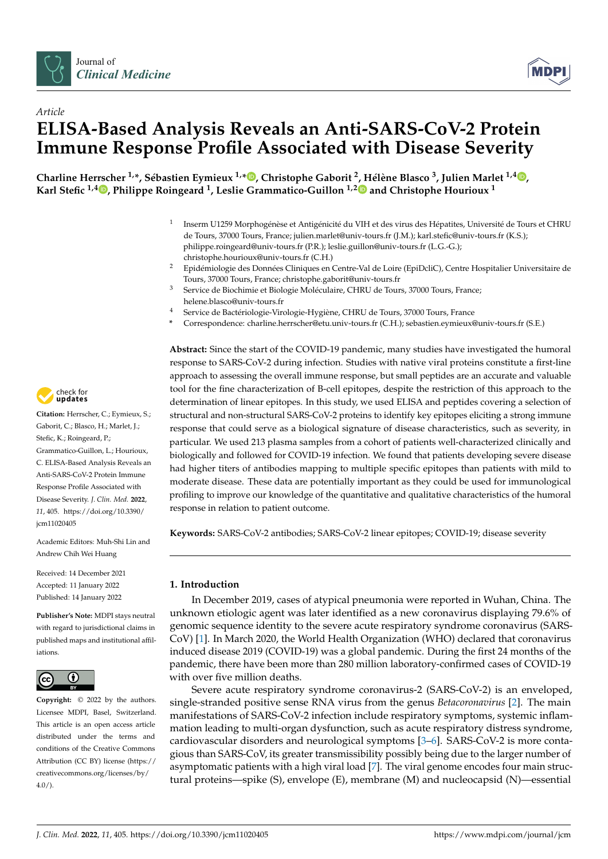



# *Article* **ELISA-Based Analysis Reveals an Anti-SARS-CoV-2 Protein Immune Response Profile Associated with Disease Severity**

Charline Herrscher <sup>1[,](https://orcid.org/0000-0002-8645-8703)</sup>\*, Sébastien Eymieux <sup>1,</sup>\*®, Christophe Gaborit <sup>2</sup>, Hélène Blasco <sup>3</sup>, Julien Marlet <sup>1,4</sup>®, **Karl Stefic 1,4 [,](https://orcid.org/0000-0002-9686-9194) Philippe Roingeard <sup>1</sup> , Leslie Grammatico-Guillon 1,[2](https://orcid.org/0000-0001-7934-8912) and Christophe Hourioux <sup>1</sup>**

- 1 Inserm U1259 Morphogénèse et Antigénicité du VIH et des virus des Hépatites, Université de Tours et CHRU de Tours, 37000 Tours, France; julien.marlet@univ-tours.fr (J.M.); karl.stefic@univ-tours.fr (K.S.); philippe.roingeard@univ-tours.fr (P.R.); leslie.guillon@univ-tours.fr (L.G.-G.); christophe.hourioux@univ-tours.fr (C.H.)
- <sup>2</sup> Epidémiologie des Données Cliniques en Centre-Val de Loire (EpiDcliC), Centre Hospitalier Universitaire de Tours, 37000 Tours, France; christophe.gaborit@univ-tours.fr
- <sup>3</sup> Service de Biochimie et Biologie Moléculaire, CHRU de Tours, 37000 Tours, France; helene.blasco@univ-tours.fr
- <sup>4</sup> Service de Bactériologie-Virologie-Hygiène, CHRU de Tours, 37000 Tours, France
- **\*** Correspondence: charline.herrscher@etu.univ-tours.fr (C.H.); sebastien.eymieux@univ-tours.fr (S.E.)

**Abstract:** Since the start of the COVID-19 pandemic, many studies have investigated the humoral response to SARS-CoV-2 during infection. Studies with native viral proteins constitute a first-line approach to assessing the overall immune response, but small peptides are an accurate and valuable tool for the fine characterization of B-cell epitopes, despite the restriction of this approach to the determination of linear epitopes. In this study, we used ELISA and peptides covering a selection of structural and non-structural SARS-CoV-2 proteins to identify key epitopes eliciting a strong immune response that could serve as a biological signature of disease characteristics, such as severity, in particular. We used 213 plasma samples from a cohort of patients well-characterized clinically and biologically and followed for COVID-19 infection. We found that patients developing severe disease had higher titers of antibodies mapping to multiple specific epitopes than patients with mild to moderate disease. These data are potentially important as they could be used for immunological profiling to improve our knowledge of the quantitative and qualitative characteristics of the humoral response in relation to patient outcome.

**Keywords:** SARS-CoV-2 antibodies; SARS-CoV-2 linear epitopes; COVID-19; disease severity

#### **1. Introduction**

In December 2019, cases of atypical pneumonia were reported in Wuhan, China. The unknown etiologic agent was later identified as a new coronavirus displaying 79.6% of genomic sequence identity to the severe acute respiratory syndrome coronavirus (SARS-CoV) [\[1\]](#page-9-0). In March 2020, the World Health Organization (WHO) declared that coronavirus induced disease 2019 (COVID-19) was a global pandemic. During the first 24 months of the pandemic, there have been more than 280 million laboratory-confirmed cases of COVID-19 with over five million deaths.

Severe acute respiratory syndrome coronavirus-2 (SARS-CoV-2) is an enveloped, single-stranded positive sense RNA virus from the genus *Betacoronavirus* [\[2\]](#page-9-1). The main manifestations of SARS-CoV-2 infection include respiratory symptoms, systemic inflammation leading to multi-organ dysfunction, such as acute respiratory distress syndrome, cardiovascular disorders and neurological symptoms [\[3](#page-9-2)[–6\]](#page-9-3). SARS-CoV-2 is more contagious than SARS-CoV, its greater transmissibility possibly being due to the larger number of asymptomatic patients with a high viral load [\[7\]](#page-9-4). The viral genome encodes four main structural proteins—spike (S), envelope (E), membrane (M) and nucleocapsid (N)—essential



**Citation:** Herrscher, C.; Eymieux, S.; Gaborit, C.; Blasco, H.; Marlet, J.; Stefic, K.; Roingeard, P.; Grammatico-Guillon, L.; Hourioux, C. ELISA-Based Analysis Reveals an Anti-SARS-CoV-2 Protein Immune Response Profile Associated with Disease Severity. *J. Clin. Med.* **2022**, *11*, 405. [https://doi.org/10.3390/](https://doi.org/10.3390/jcm11020405) [jcm11020405](https://doi.org/10.3390/jcm11020405)

Academic Editors: Muh-Shi Lin and Andrew Chih Wei Huang

Received: 14 December 2021 Accepted: 11 January 2022 Published: 14 January 2022

**Publisher's Note:** MDPI stays neutral with regard to jurisdictional claims in published maps and institutional affiliations.



**Copyright:** © 2022 by the authors. Licensee MDPI, Basel, Switzerland. This article is an open access article distributed under the terms and conditions of the Creative Commons Attribution (CC BY) license [\(https://](https://creativecommons.org/licenses/by/4.0/) [creativecommons.org/licenses/by/](https://creativecommons.org/licenses/by/4.0/)  $4.0/$ ).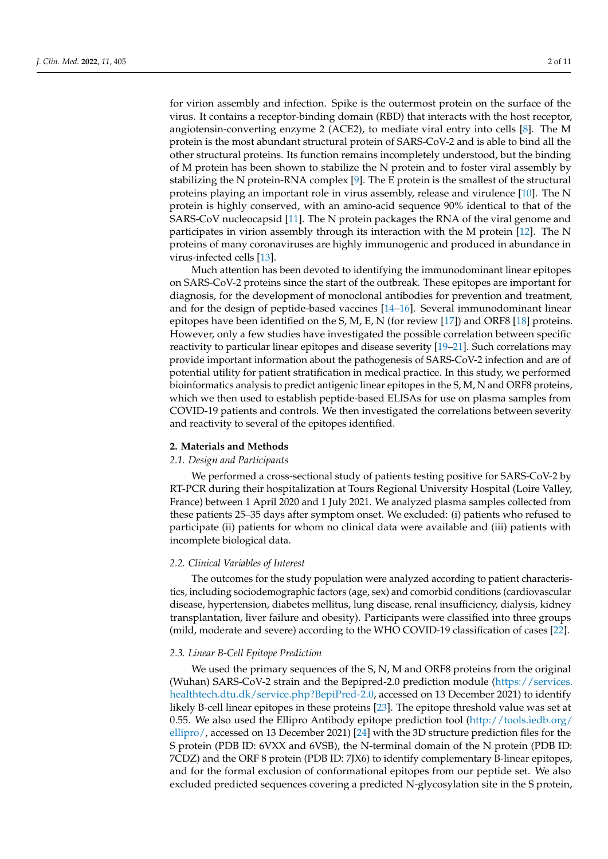for virion assembly and infection. Spike is the outermost protein on the surface of the virus. It contains a receptor-binding domain (RBD) that interacts with the host receptor, angiotensin-converting enzyme 2 (ACE2), to mediate viral entry into cells [\[8\]](#page-9-5). The M protein is the most abundant structural protein of SARS-CoV-2 and is able to bind all the other structural proteins. Its function remains incompletely understood, but the binding of M protein has been shown to stabilize the N protein and to foster viral assembly by stabilizing the N protein-RNA complex [\[9\]](#page-9-6). The E protein is the smallest of the structural proteins playing an important role in virus assembly, release and virulence [\[10\]](#page-9-7). The N protein is highly conserved, with an amino-acid sequence 90% identical to that of the SARS-CoV nucleocapsid [\[11\]](#page-9-8). The N protein packages the RNA of the viral genome and participates in virion assembly through its interaction with the M protein [\[12\]](#page-9-9). The N proteins of many coronaviruses are highly immunogenic and produced in abundance in virus-infected cells [\[13\]](#page-9-10).

Much attention has been devoted to identifying the immunodominant linear epitopes on SARS-CoV-2 proteins since the start of the outbreak. These epitopes are important for diagnosis, for the development of monoclonal antibodies for prevention and treatment, and for the design of peptide-based vaccines [\[14](#page-9-11)[–16\]](#page-9-12). Several immunodominant linear epitopes have been identified on the S, M, E, N (for review [\[17\]](#page-9-13)) and ORF8 [\[18\]](#page-9-14) proteins. However, only a few studies have investigated the possible correlation between specific reactivity to particular linear epitopes and disease severity [\[19–](#page-9-15)[21\]](#page-9-16). Such correlations may provide important information about the pathogenesis of SARS-CoV-2 infection and are of potential utility for patient stratification in medical practice. In this study, we performed bioinformatics analysis to predict antigenic linear epitopes in the S, M, N and ORF8 proteins, which we then used to establish peptide-based ELISAs for use on plasma samples from COVID-19 patients and controls. We then investigated the correlations between severity and reactivity to several of the epitopes identified.

#### **2. Materials and Methods**

#### *2.1. Design and Participants*

We performed a cross-sectional study of patients testing positive for SARS-CoV-2 by RT-PCR during their hospitalization at Tours Regional University Hospital (Loire Valley, France) between 1 April 2020 and 1 July 2021. We analyzed plasma samples collected from these patients 25–35 days after symptom onset. We excluded: (i) patients who refused to participate (ii) patients for whom no clinical data were available and (iii) patients with incomplete biological data.

#### *2.2. Clinical Variables of Interest*

The outcomes for the study population were analyzed according to patient characteristics, including sociodemographic factors (age, sex) and comorbid conditions (cardiovascular disease, hypertension, diabetes mellitus, lung disease, renal insufficiency, dialysis, kidney transplantation, liver failure and obesity). Participants were classified into three groups (mild, moderate and severe) according to the WHO COVID-19 classification of cases [\[22\]](#page-9-17).

#### *2.3. Linear B-Cell Epitope Prediction*

We used the primary sequences of the S, N, M and ORF8 proteins from the original (Wuhan) SARS-CoV-2 strain and the Bepipred-2.0 prediction module [\(https://services.](https://services.healthtech.dtu.dk/service.php?BepiPred-2.0) [healthtech.dtu.dk/service.php?BepiPred-2.0,](https://services.healthtech.dtu.dk/service.php?BepiPred-2.0) accessed on 13 December 2021) to identify likely B-cell linear epitopes in these proteins [\[23\]](#page-9-18). The epitope threshold value was set at 0.55. We also used the Ellipro Antibody epitope prediction tool  $(\text{http://tools.idb.org/})$ [ellipro/,](http://tools.iedb.org/ellipro/) accessed on 13 December 2021) [\[24\]](#page-9-19) with the 3D structure prediction files for the S protein (PDB ID: 6VXX and 6VSB), the N-terminal domain of the N protein (PDB ID: 7CDZ) and the ORF 8 protein (PDB ID: 7JX6) to identify complementary B-linear epitopes, and for the formal exclusion of conformational epitopes from our peptide set. We also excluded predicted sequences covering a predicted N-glycosylation site in the S protein,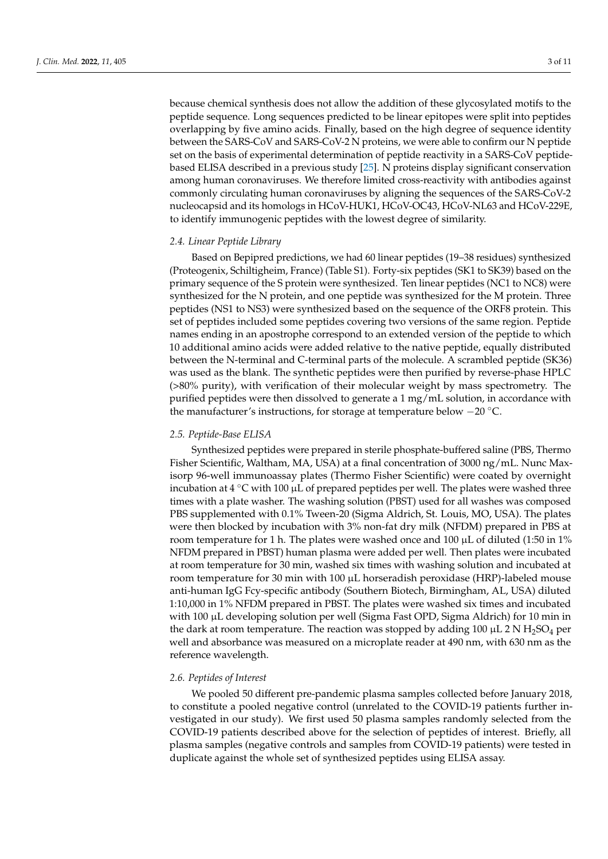because chemical synthesis does not allow the addition of these glycosylated motifs to the peptide sequence. Long sequences predicted to be linear epitopes were split into peptides overlapping by five amino acids. Finally, based on the high degree of sequence identity between the SARS-CoV and SARS-CoV-2 N proteins, we were able to confirm our N peptide set on the basis of experimental determination of peptide reactivity in a SARS-CoV peptidebased ELISA described in a previous study [\[25\]](#page-9-20). N proteins display significant conservation among human coronaviruses. We therefore limited cross-reactivity with antibodies against commonly circulating human coronaviruses by aligning the sequences of the SARS-CoV-2 nucleocapsid and its homologs in HCoV-HUK1, HCoV-OC43, HCoV-NL63 and HCoV-229E, to identify immunogenic peptides with the lowest degree of similarity.

#### *2.4. Linear Peptide Library*

Based on Bepipred predictions, we had 60 linear peptides (19–38 residues) synthesized (Proteogenix, Schiltigheim, France) (Table S1). Forty-six peptides (SK1 to SK39) based on the primary sequence of the S protein were synthesized. Ten linear peptides (NC1 to NC8) were synthesized for the N protein, and one peptide was synthesized for the M protein. Three peptides (NS1 to NS3) were synthesized based on the sequence of the ORF8 protein. This set of peptides included some peptides covering two versions of the same region. Peptide names ending in an apostrophe correspond to an extended version of the peptide to which 10 additional amino acids were added relative to the native peptide, equally distributed between the N-terminal and C-terminal parts of the molecule. A scrambled peptide (SK36) was used as the blank. The synthetic peptides were then purified by reverse-phase HPLC (>80% purity), with verification of their molecular weight by mass spectrometry. The purified peptides were then dissolved to generate a 1 mg/mL solution, in accordance with the manufacturer's instructions, for storage at temperature below −20 ◦C.

#### *2.5. Peptide-Base ELISA*

Synthesized peptides were prepared in sterile phosphate-buffered saline (PBS, Thermo Fisher Scientific, Waltham, MA, USA) at a final concentration of 3000 ng/mL. Nunc Maxisorp 96-well immunoassay plates (Thermo Fisher Scientific) were coated by overnight incubation at  $4 °C$  with 100 µL of prepared peptides per well. The plates were washed three times with a plate washer. The washing solution (PBST) used for all washes was composed PBS supplemented with 0.1% Tween-20 (Sigma Aldrich, St. Louis, MO, USA). The plates were then blocked by incubation with 3% non-fat dry milk (NFDM) prepared in PBS at room temperature for 1 h. The plates were washed once and 100  $\mu$ L of diluted (1:50 in 1%) NFDM prepared in PBST) human plasma were added per well. Then plates were incubated at room temperature for 30 min, washed six times with washing solution and incubated at room temperature for 30 min with  $100 \mu$ L horseradish peroxidase (HRP)-labeled mouse anti-human IgG Fcy-specific antibody (Southern Biotech, Birmingham, AL, USA) diluted 1:10,000 in 1% NFDM prepared in PBST. The plates were washed six times and incubated with 100 µL developing solution per well (Sigma Fast OPD, Sigma Aldrich) for 10 min in the dark at room temperature. The reaction was stopped by adding 100  $\mu$ L 2 N H<sub>2</sub>SO<sub>4</sub> per well and absorbance was measured on a microplate reader at 490 nm, with 630 nm as the reference wavelength.

#### *2.6. Peptides of Interest*

We pooled 50 different pre-pandemic plasma samples collected before January 2018, to constitute a pooled negative control (unrelated to the COVID-19 patients further investigated in our study). We first used 50 plasma samples randomly selected from the COVID-19 patients described above for the selection of peptides of interest. Briefly, all plasma samples (negative controls and samples from COVID-19 patients) were tested in duplicate against the whole set of synthesized peptides using ELISA assay.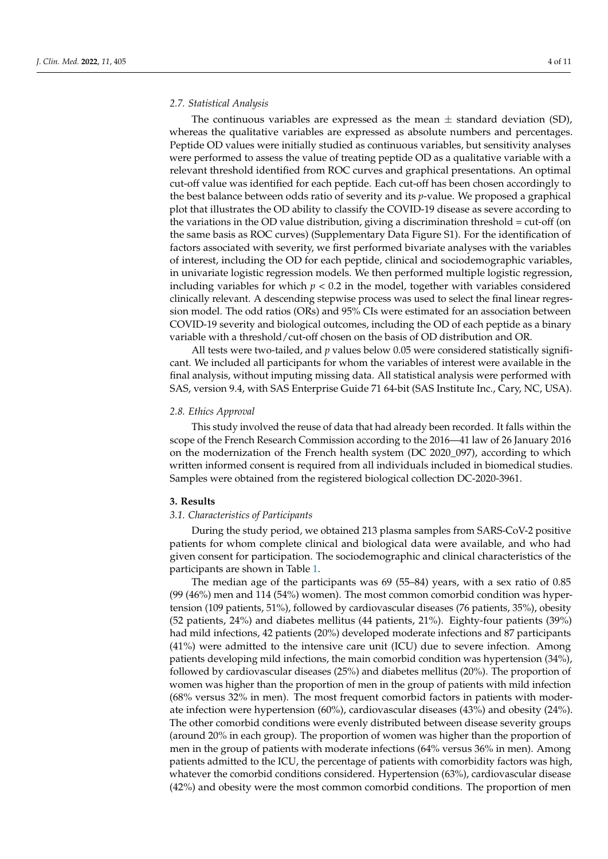#### *2.7. Statistical Analysis*

The continuous variables are expressed as the mean  $\pm$  standard deviation (SD), whereas the qualitative variables are expressed as absolute numbers and percentages. Peptide OD values were initially studied as continuous variables, but sensitivity analyses were performed to assess the value of treating peptide OD as a qualitative variable with a relevant threshold identified from ROC curves and graphical presentations. An optimal cut-off value was identified for each peptide. Each cut-off has been chosen accordingly to the best balance between odds ratio of severity and its *p*-value. We proposed a graphical plot that illustrates the OD ability to classify the COVID-19 disease as severe according to the variations in the OD value distribution, giving a discrimination threshold = cut-off (on the same basis as ROC curves) (Supplementary Data Figure S1). For the identification of factors associated with severity, we first performed bivariate analyses with the variables of interest, including the OD for each peptide, clinical and sociodemographic variables, in univariate logistic regression models. We then performed multiple logistic regression, including variables for which  $p < 0.2$  in the model, together with variables considered clinically relevant. A descending stepwise process was used to select the final linear regression model. The odd ratios (ORs) and 95% CIs were estimated for an association between COVID-19 severity and biological outcomes, including the OD of each peptide as a binary variable with a threshold/cut-off chosen on the basis of OD distribution and OR.

All tests were two-tailed, and *p* values below 0.05 were considered statistically significant. We included all participants for whom the variables of interest were available in the final analysis, without imputing missing data. All statistical analysis were performed with SAS, version 9.4, with SAS Enterprise Guide 71 64-bit (SAS Institute Inc., Cary, NC, USA).

#### *2.8. Ethics Approval*

This study involved the reuse of data that had already been recorded. It falls within the scope of the French Research Commission according to the 2016—41 law of 26 January 2016 on the modernization of the French health system (DC 2020\_097), according to which written informed consent is required from all individuals included in biomedical studies. Samples were obtained from the registered biological collection DC-2020-3961.

#### **3. Results**

#### *3.1. Characteristics of Participants*

During the study period, we obtained 213 plasma samples from SARS-CoV-2 positive patients for whom complete clinical and biological data were available, and who had given consent for participation. The sociodemographic and clinical characteristics of the participants are shown in Table [1.](#page-4-0)

The median age of the participants was 69 (55–84) years, with a sex ratio of 0.85 (99 (46%) men and 114 (54%) women). The most common comorbid condition was hypertension (109 patients, 51%), followed by cardiovascular diseases (76 patients, 35%), obesity (52 patients, 24%) and diabetes mellitus (44 patients, 21%). Eighty-four patients (39%) had mild infections, 42 patients (20%) developed moderate infections and 87 participants (41%) were admitted to the intensive care unit (ICU) due to severe infection. Among patients developing mild infections, the main comorbid condition was hypertension (34%), followed by cardiovascular diseases (25%) and diabetes mellitus (20%). The proportion of women was higher than the proportion of men in the group of patients with mild infection (68% versus 32% in men). The most frequent comorbid factors in patients with moderate infection were hypertension (60%), cardiovascular diseases (43%) and obesity (24%). The other comorbid conditions were evenly distributed between disease severity groups (around 20% in each group). The proportion of women was higher than the proportion of men in the group of patients with moderate infections (64% versus 36% in men). Among patients admitted to the ICU, the percentage of patients with comorbidity factors was high, whatever the comorbid conditions considered. Hypertension (63%), cardiovascular disease (42%) and obesity were the most common comorbid conditions. The proportion of men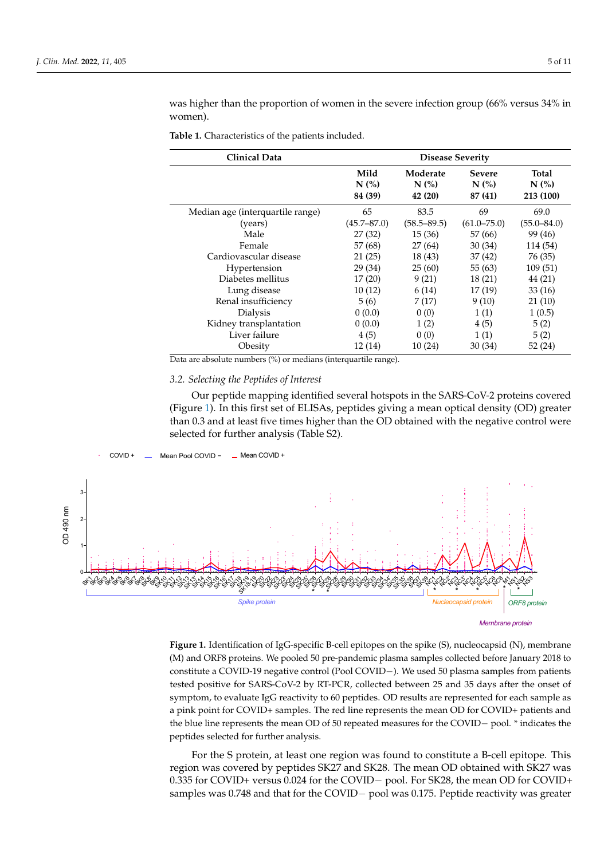was higher than the proportion of women in the severe infection group (66% versus 34% in women).

**42 (20)** 

**87 (41)** 

| Clinical Data                    | <b>Disease Severity</b> |                            |                                                    |                           |  |
|----------------------------------|-------------------------|----------------------------|----------------------------------------------------|---------------------------|--|
|                                  | Mild<br>N(%<br>84 (39)  | Moderate<br>N(%<br>42 (20) | <b>Severe</b><br>$N$ $\left(\% \right)$<br>87 (41) | Total<br>N(%<br>213 (100) |  |
| Median age (interquartile range) | 65                      | 83.5                       | 69                                                 | 69.0                      |  |
| (years)                          | $(45.7 - 87.0)$         | $(58.5 - 89.5)$            | $(61.0 - 75.0)$                                    | $(55.0 - 84.0)$           |  |
| Male                             | 27(32)                  | 15(36)                     | 57 (66)                                            | 99 (46)                   |  |
| Female                           | 57 (68)                 | 27(64)                     | 30(34)                                             | 114 (54)                  |  |
| Cardiovascular disease           | 21(25)                  | 18(43)                     | 37(42)                                             | 76 (35)                   |  |
| Hypertension                     | 29(34)                  | 25(60)                     | 55 (63)                                            | 109(51)                   |  |
| Diabetes mellitus                | 17(20)                  | 9(21)                      | 18(21)                                             | 44 (21)                   |  |
| Lung disease                     | 10(12)                  | 6(14)                      | 17(19)                                             | 33(16)                    |  |
| Renal insufficiency              | 5(6)                    | 7(17)                      | 9(10)                                              | 21(10)                    |  |
| Dialysis                         | 0(0.0)                  | 0(0)                       | 1(1)                                               | 1(0.5)                    |  |
| Kidney transplantation           | 0(0.0)                  | 1(2)                       | 4(5)                                               | 5(2)                      |  |
| Liver failure                    | 4(5)                    | 0(0)                       | 1(1)                                               | 5(2)                      |  |
| Obesity                          | 12(14)                  | 10(24)                     | 30(34)                                             | 52 (24)                   |  |

<span id="page-4-0"></span>Table 1. Characteristics of the patients included. **84 (39)** 

Data are absolute numbers (%) or medians (interquartile range).

# 3.2. Selecting the Peptides of Interest

<span id="page-4-1"></span>Our peptide mapping identified several hotspots in the SARS-CoV-2 proteins covered (Figure [1\)](#page-4-1). In this first set of ELISAs, peptides giving a mean optical density (OD) greater than 0.3 and at least five times higher than the OD obtained with the negative control were selected for further analysis (Table S2).



**Figure 1.** Identification of IgG-specific B-cell epitopes on the spike (S), nucleocapsid (N), membrane **Figure 1.** Identification of IgG-specific B-cell epitopes on the spike (S), nucleocapsid (N), membrane (M) and ORF8 proteins. We pooled 50 pre-pandemic plasma samples collected before January 2018 (M) and ORF8 proteins. We pooled 50 pre-pandemic plasma samples collected before January 2018 to constitute a COVID-19 negative control (Pool COVID−). We used 50 plasma samples from patients tested positive for SARS-CoV-2 by RT-PCR, collected between 25 and 35 days after the onset of symptom, to evaluate IgG reactivity to 60 peptides. OD results are represented for each sample as a pink point for COVID+ samples. The red line represents the mean OD for COVID+ patients and the blue line represents the mean OD of 50 repeated measures for the COVID− pool. \* indicates the peptides selected for further analysis.

For the S protein, at least one region was found to constitute a B-cell epitope. This region was covered by peptides SK27 and SK28. The mean OD obtained with SK27 was 0.335 for COVID+ versus 0.024 for the COVID− pool. For SK28, the mean OD for COVID+ samples was 0.748 and that for the COVID− pool was 0.175. Peptide reactivity was greater

**213 (100)**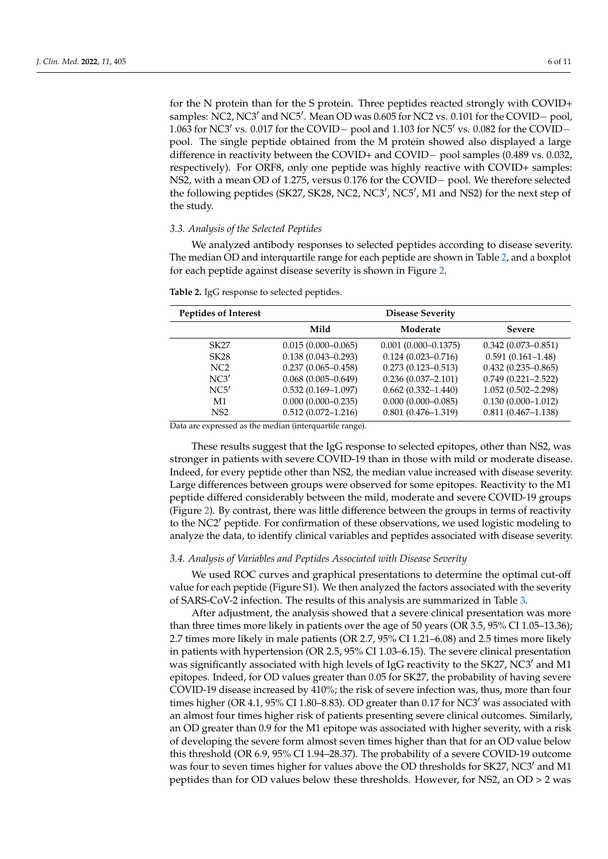for the N protein than for the S protein. Three peptides reacted strongly with COVID+ samples: NC2, NC3' and NC5'. Mean OD was 0.605 for NC2 vs. 0.101 for the COVID- pool, 1.063 for NC3<sup>'</sup> vs. 0.017 for the COVID− pool and 1.103 for NC5<sup>'</sup> vs. 0.082 for the COVID− pool. The single peptide obtained from the M protein showed also displayed a large difference in reactivity between the COVID+ and COVID− pool samples (0.489 vs. 0.032, respectively). For ORF8, only one peptide was highly reactive with COVID+ samples: NS2, with a mean OD of 1.275, versus 0.176 for the COVID− pool. We therefore selected the following peptides (SK27, SK28, NC2, NC3', NC5', M1 and NS2) for the next step of the study.

### *3.3. Analysis of the Selected Peptides*

We analyzed antibody responses to selected peptides according to disease severity. The median OD and interquartile range for each peptide are shown in Table [2,](#page-5-0) and a boxplot for each peptide against disease severity is shown in Figure [2.](#page-6-0)

| Peptides of Interest                           |                                                                                                                                                                                                                                                                                                                                                                                                                                                                                                                            | <b>Disease Severity</b> |                        |
|------------------------------------------------|----------------------------------------------------------------------------------------------------------------------------------------------------------------------------------------------------------------------------------------------------------------------------------------------------------------------------------------------------------------------------------------------------------------------------------------------------------------------------------------------------------------------------|-------------------------|------------------------|
|                                                | Mild                                                                                                                                                                                                                                                                                                                                                                                                                                                                                                                       | Moderate                | <b>Severe</b>          |
| SK27                                           | $0.015(0.000 - 0.065)$                                                                                                                                                                                                                                                                                                                                                                                                                                                                                                     | $0.001(0.000 - 0.1375)$ | $0.342(0.073 - 0.851)$ |
| SK28                                           | $0.138(0.043 - 0.293)$                                                                                                                                                                                                                                                                                                                                                                                                                                                                                                     | $0.124(0.023 - 0.716)$  | $0.591(0.161 - 1.48)$  |
| NC <sub>2</sub>                                | $0.237(0.065 - 0.458)$                                                                                                                                                                                                                                                                                                                                                                                                                                                                                                     | $0.273(0.123 - 0.513)$  | $0.432(0.235 - 0.865)$ |
| NC3'                                           | $0.068(0.005 - 0.649)$                                                                                                                                                                                                                                                                                                                                                                                                                                                                                                     | $0.236(0.037 - 2.101)$  | $0.749(0.221 - 2.522)$ |
| NC5'                                           | $0.532(0.169 - 1.097)$                                                                                                                                                                                                                                                                                                                                                                                                                                                                                                     | $0.662(0.332 - 1.440)$  | $1.052(0.502 - 2.298)$ |
| M1                                             | $0.000(0.000 - 0.235)$                                                                                                                                                                                                                                                                                                                                                                                                                                                                                                     | $0.000(0.000 - 0.085)$  | $0.130(0.000-1.012)$   |
| NS <sub>2</sub><br>$\mathbf{r}$ .<br>$\sim$ 1. | $0.512(0.072 - 1.216)$<br>$\cdot$<br>$\mathbf{1} \cdot \mathbf{1} \cdot \mathbf{1} \cdot \mathbf{1} \cdot \mathbf{1} \cdot \mathbf{1} \cdot \mathbf{1} \cdot \mathbf{1} \cdot \mathbf{1} \cdot \mathbf{1} \cdot \mathbf{1} \cdot \mathbf{1} \cdot \mathbf{1} \cdot \mathbf{1} \cdot \mathbf{1} \cdot \mathbf{1} \cdot \mathbf{1} \cdot \mathbf{1} \cdot \mathbf{1} \cdot \mathbf{1} \cdot \mathbf{1} \cdot \mathbf{1} \cdot \mathbf{1} \cdot \mathbf{1} \cdot \mathbf{1} \cdot \mathbf{1} \cdot \mathbf{1} \cdot \mathbf{$ | $0.801(0.476 - 1.319)$  | $0.811(0.467-1.138)$   |

<span id="page-5-0"></span>**Table 2.** IgG response to selected peptides.

Data are expressed as the median (interquartile range).

These results suggest that the IgG response to selected epitopes, other than NS2, was stronger in patients with severe COVID-19 than in those with mild or moderate disease. Indeed, for every peptide other than NS2, the median value increased with disease severity. Large differences between groups were observed for some epitopes. Reactivity to the M1 peptide differed considerably between the mild, moderate and severe COVID-19 groups (Figure [2\)](#page-6-0). By contrast, there was little difference between the groups in terms of reactivity to the NC2<sup>'</sup> peptide. For confirmation of these observations, we used logistic modeling to analyze the data, to identify clinical variables and peptides associated with disease severity.

#### *3.4. Analysis of Variables and Peptides Associated with Disease Severity*

We used ROC curves and graphical presentations to determine the optimal cut-off value for each peptide (Figure S1). We then analyzed the factors associated with the severity of SARS-CoV-2 infection. The results of this analysis are summarized in Table [3.](#page-7-0)

After adjustment, the analysis showed that a severe clinical presentation was more than three times more likely in patients over the age of 50 years (OR 3.5, 95% CI 1.05–13.36); 2.7 times more likely in male patients (OR 2.7, 95% CI 1.21–6.08) and 2.5 times more likely in patients with hypertension (OR 2.5, 95% CI 1.03–6.15). The severe clinical presentation was significantly associated with high levels of IgG reactivity to the SK27, NC3' and M1 epitopes. Indeed, for OD values greater than 0.05 for SK27, the probability of having severe COVID-19 disease increased by 410%; the risk of severe infection was, thus, more than four times higher (OR 4.1,  $95\%$  CI 1.80–8.83). OD greater than 0.17 for NC3' was associated with an almost four times higher risk of patients presenting severe clinical outcomes. Similarly, an OD greater than 0.9 for the M1 epitope was associated with higher severity, with a risk of developing the severe form almost seven times higher than that for an OD value below this threshold (OR 6.9, 95% CI 1.94–28.37). The probability of a severe COVID-19 outcome was four to seven times higher for values above the OD thresholds for SK27, NC3' and M1 peptides than for OD values below these thresholds. However, for NS2, an OD > 2 was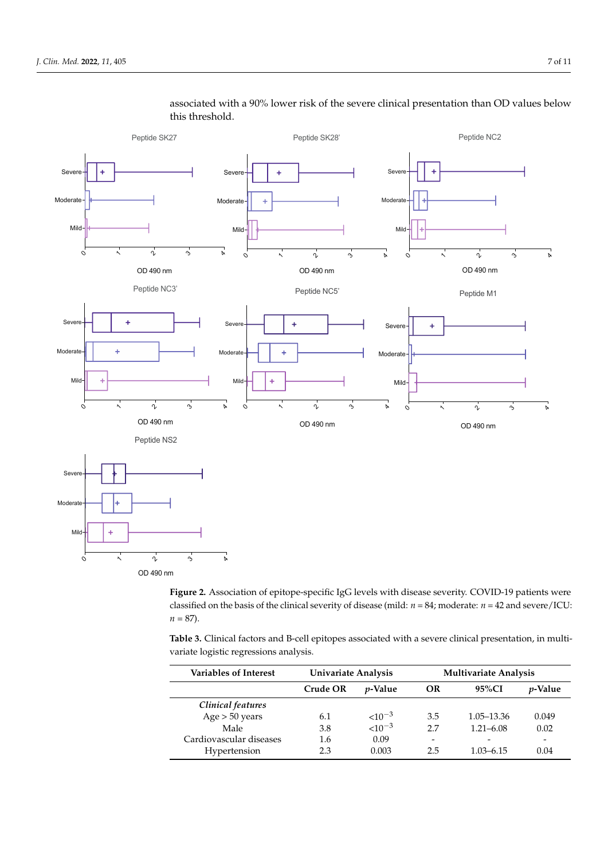

# <span id="page-6-0"></span>associated with a 90% lower risk of the severe clinical presentation than OD values below this threshold.

**Figure 2.** Association of epitope-specific IgG levels with disease severity. COVID-19 patients were **Figure 2.** Association of epitope-specific IgG levels with disease severity. COVID-19 patients were classified on the basis of the clinical severity of disease (mild:  $n = 84$ ; moderate:  $n = 42$  and severe/ICU:  $n = 87$ .

**Table 3.** Clinical factors and B-cell epitopes associated with a severe clinical presentation, in multivariate logistic regressions analysis.

| <b>Variables of Interest</b> | Univariate Analysis |                 | <b>Multivariate Analysis</b> |               |                          |
|------------------------------|---------------------|-----------------|------------------------------|---------------|--------------------------|
|                              | Crude OR            | <i>v</i> -Value | OR                           | 95%CI         | <i>v</i> -Value          |
| Clinical features            |                     |                 |                              |               |                          |
| Age > 50 years               | 6.1                 | ${<}10^{-3}$    | 3.5                          | 1.05–13.36    | 0.049                    |
| Male                         | 3.8                 | $< 10^{-3}$     | 2.7                          | $1.21 - 6.08$ | 0.02                     |
| Cardiovascular diseases      | 1.6                 | 0.09            | -                            |               | $\overline{\phantom{a}}$ |
| Hypertension                 | 2.3                 | 0.003           | 2.5                          | $1.03 - 6.15$ | 0.04                     |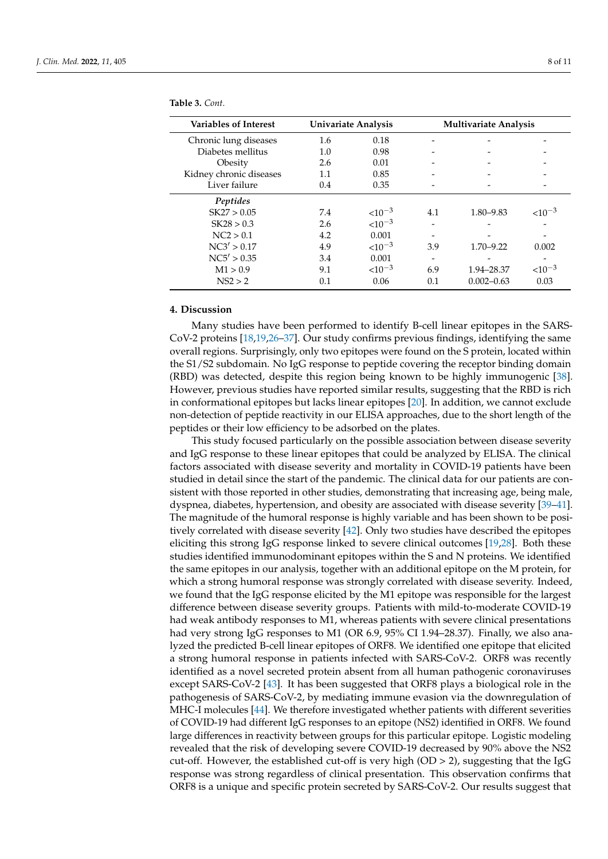| <b>Variables of Interest</b> | Univariate Analysis |             | <b>Multivariate Analysis</b> |                |              |
|------------------------------|---------------------|-------------|------------------------------|----------------|--------------|
| Chronic lung diseases        | 1.6                 | 0.18        |                              |                |              |
| Diabetes mellitus            | 1.0                 | 0.98        |                              |                |              |
| Obesity                      | 2.6                 | 0.01        |                              |                |              |
| Kidney chronic diseases      | 1.1                 | 0.85        |                              |                |              |
| Liver failure                | 0.4                 | 0.35        |                              |                |              |
| Peptides                     |                     |             |                              |                |              |
| SK27 > 0.05                  | 7.4                 | $< 10^{-3}$ | 4.1                          | 1.80-9.83      | ${<}10^{-3}$ |
| SK28 > 0.3                   | 2.6                 | $< 10^{-3}$ |                              |                |              |
| NC2 > 0.1                    | 4.2                 | 0.001       |                              |                |              |
| NC3' > 0.17                  | 4.9                 | $< 10^{-3}$ | 3.9                          | $1.70 - 9.22$  | 0.002        |
| NCS' > 0.35                  | 3.4                 | 0.001       |                              |                |              |
| M1 > 0.9                     | 9.1                 | $< 10^{-3}$ | 6.9                          | 1.94-28.37     | $<10^{-3}$   |
| NS2 > 2                      | 0.1                 | 0.06        | 0.1                          | $0.002 - 0.63$ | 0.03         |

<span id="page-7-0"></span>**Table 3.** *Cont.*

## **4. Discussion**

Many studies have been performed to identify B-cell linear epitopes in the SARS-CoV-2 proteins [\[18,](#page-9-14)[19,](#page-9-15)[26](#page-9-21)[–37\]](#page-10-0). Our study confirms previous findings, identifying the same overall regions. Surprisingly, only two epitopes were found on the S protein, located within the S1/S2 subdomain. No IgG response to peptide covering the receptor binding domain (RBD) was detected, despite this region being known to be highly immunogenic [\[38\]](#page-10-1). However, previous studies have reported similar results, suggesting that the RBD is rich in conformational epitopes but lacks linear epitopes [\[20\]](#page-9-22). In addition, we cannot exclude non-detection of peptide reactivity in our ELISA approaches, due to the short length of the peptides or their low efficiency to be adsorbed on the plates.

This study focused particularly on the possible association between disease severity and IgG response to these linear epitopes that could be analyzed by ELISA. The clinical factors associated with disease severity and mortality in COVID-19 patients have been studied in detail since the start of the pandemic. The clinical data for our patients are consistent with those reported in other studies, demonstrating that increasing age, being male, dyspnea, diabetes, hypertension, and obesity are associated with disease severity [\[39](#page-10-2)[–41\]](#page-10-3). The magnitude of the humoral response is highly variable and has been shown to be positively correlated with disease severity [\[42\]](#page-10-4). Only two studies have described the epitopes eliciting this strong IgG response linked to severe clinical outcomes [\[19](#page-9-15)[,28\]](#page-10-5). Both these studies identified immunodominant epitopes within the S and N proteins. We identified the same epitopes in our analysis, together with an additional epitope on the M protein, for which a strong humoral response was strongly correlated with disease severity. Indeed, we found that the IgG response elicited by the M1 epitope was responsible for the largest difference between disease severity groups. Patients with mild-to-moderate COVID-19 had weak antibody responses to M1, whereas patients with severe clinical presentations had very strong IgG responses to M1 (OR 6.9, 95% CI 1.94–28.37). Finally, we also analyzed the predicted B-cell linear epitopes of ORF8. We identified one epitope that elicited a strong humoral response in patients infected with SARS-CoV-2. ORF8 was recently identified as a novel secreted protein absent from all human pathogenic coronaviruses except SARS-CoV-2 [\[43\]](#page-10-6). It has been suggested that ORF8 plays a biological role in the pathogenesis of SARS-CoV-2, by mediating immune evasion via the downregulation of MHC-I molecules [\[44\]](#page-10-7). We therefore investigated whether patients with different severities of COVID-19 had different IgG responses to an epitope (NS2) identified in ORF8. We found large differences in reactivity between groups for this particular epitope. Logistic modeling revealed that the risk of developing severe COVID-19 decreased by 90% above the NS2 cut-off. However, the established cut-off is very high (OD > 2), suggesting that the IgG response was strong regardless of clinical presentation. This observation confirms that ORF8 is a unique and specific protein secreted by SARS-CoV-2. Our results suggest that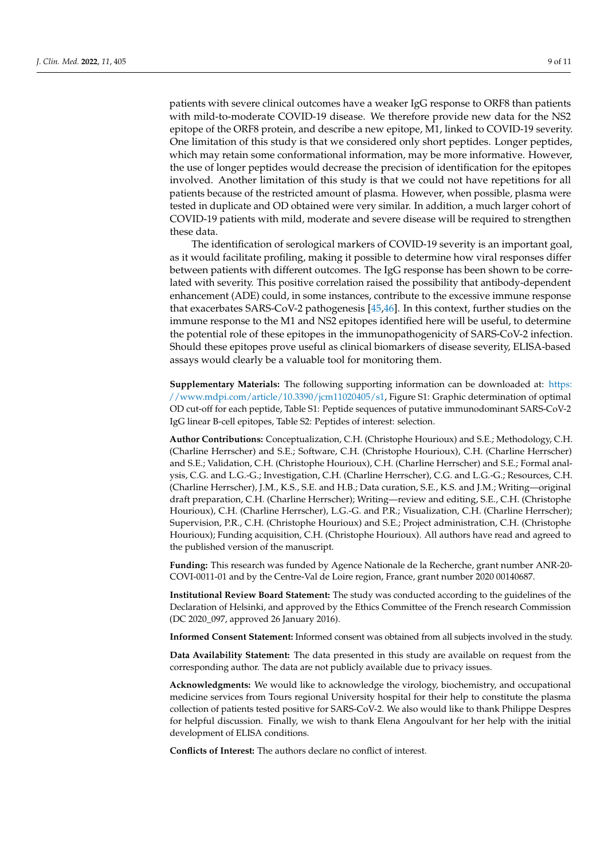patients with severe clinical outcomes have a weaker IgG response to ORF8 than patients with mild-to-moderate COVID-19 disease. We therefore provide new data for the NS2 epitope of the ORF8 protein, and describe a new epitope, M1, linked to COVID-19 severity. One limitation of this study is that we considered only short peptides. Longer peptides, which may retain some conformational information, may be more informative. However, the use of longer peptides would decrease the precision of identification for the epitopes involved. Another limitation of this study is that we could not have repetitions for all patients because of the restricted amount of plasma. However, when possible, plasma were tested in duplicate and OD obtained were very similar. In addition, a much larger cohort of COVID-19 patients with mild, moderate and severe disease will be required to strengthen these data.

The identification of serological markers of COVID-19 severity is an important goal, as it would facilitate profiling, making it possible to determine how viral responses differ between patients with different outcomes. The IgG response has been shown to be correlated with severity. This positive correlation raised the possibility that antibody-dependent enhancement (ADE) could, in some instances, contribute to the excessive immune response that exacerbates SARS-CoV-2 pathogenesis [\[45](#page-10-8)[,46\]](#page-10-9). In this context, further studies on the immune response to the M1 and NS2 epitopes identified here will be useful, to determine the potential role of these epitopes in the immunopathogenicity of SARS-CoV-2 infection. Should these epitopes prove useful as clinical biomarkers of disease severity, ELISA-based assays would clearly be a valuable tool for monitoring them.

**Supplementary Materials:** The following supporting information can be downloaded at: [https:](https://www.mdpi.com/article/10.3390/jcm11020405/s1) [//www.mdpi.com/article/10.3390/jcm11020405/s1,](https://www.mdpi.com/article/10.3390/jcm11020405/s1) Figure S1: Graphic determination of optimal OD cut-off for each peptide, Table S1: Peptide sequences of putative immunodominant SARS-CoV-2 IgG linear B-cell epitopes, Table S2: Peptides of interest: selection.

**Author Contributions:** Conceptualization, C.H. (Christophe Hourioux) and S.E.; Methodology, C.H. (Charline Herrscher) and S.E.; Software, C.H. (Christophe Hourioux), C.H. (Charline Herrscher) and S.E.; Validation, C.H. (Christophe Hourioux), C.H. (Charline Herrscher) and S.E.; Formal analysis, C.G. and L.G.-G.; Investigation, C.H. (Charline Herrscher), C.G. and L.G.-G.; Resources, C.H. (Charline Herrscher), J.M., K.S., S.E. and H.B.; Data curation, S.E., K.S. and J.M.; Writing—original draft preparation, C.H. (Charline Herrscher); Writing—review and editing, S.E., C.H. (Christophe Hourioux), C.H. (Charline Herrscher), L.G.-G. and P.R.; Visualization, C.H. (Charline Herrscher); Supervision, P.R., C.H. (Christophe Hourioux) and S.E.; Project administration, C.H. (Christophe Hourioux); Funding acquisition, C.H. (Christophe Hourioux). All authors have read and agreed to the published version of the manuscript.

**Funding:** This research was funded by Agence Nationale de la Recherche, grant number ANR-20- COVI-0011-01 and by the Centre-Val de Loire region, France, grant number 2020 00140687.

**Institutional Review Board Statement:** The study was conducted according to the guidelines of the Declaration of Helsinki, and approved by the Ethics Committee of the French research Commission (DC 2020\_097, approved 26 January 2016).

**Informed Consent Statement:** Informed consent was obtained from all subjects involved in the study.

**Data Availability Statement:** The data presented in this study are available on request from the corresponding author. The data are not publicly available due to privacy issues.

**Acknowledgments:** We would like to acknowledge the virology, biochemistry, and occupational medicine services from Tours regional University hospital for their help to constitute the plasma collection of patients tested positive for SARS-CoV-2. We also would like to thank Philippe Despres for helpful discussion. Finally, we wish to thank Elena Angoulvant for her help with the initial development of ELISA conditions.

**Conflicts of Interest:** The authors declare no conflict of interest.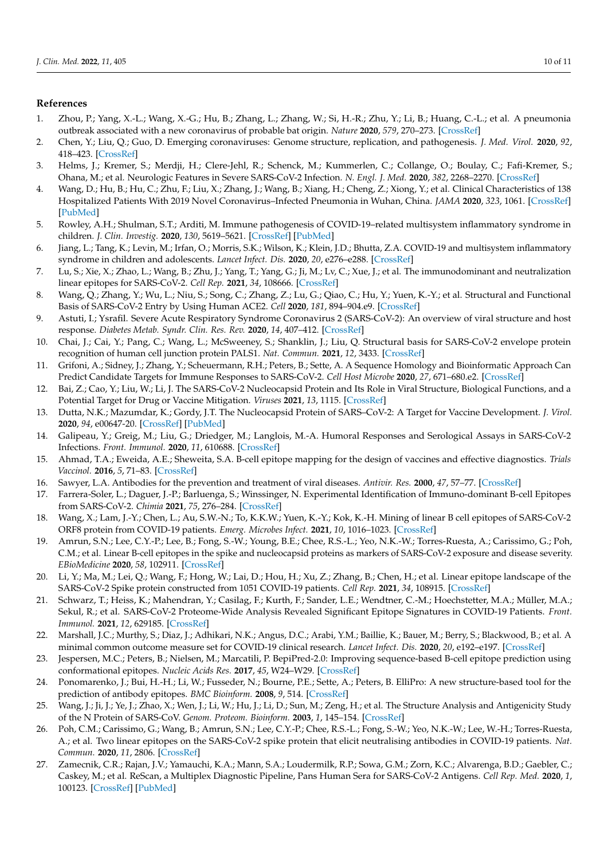#### **References**

- <span id="page-9-0"></span>1. Zhou, P.; Yang, X.-L.; Wang, X.-G.; Hu, B.; Zhang, L.; Zhang, W.; Si, H.-R.; Zhu, Y.; Li, B.; Huang, C.-L.; et al. A pneumonia outbreak associated with a new coronavirus of probable bat origin. *Nature* **2020**, *579*, 270–273. [\[CrossRef\]](http://doi.org/10.1038/s41586-020-2012-7)
- <span id="page-9-1"></span>2. Chen, Y.; Liu, Q.; Guo, D. Emerging coronaviruses: Genome structure, replication, and pathogenesis. *J. Med. Virol.* **2020**, *92*, 418–423. [\[CrossRef\]](http://doi.org/10.1002/jmv.25681)
- <span id="page-9-2"></span>3. Helms, J.; Kremer, S.; Merdji, H.; Clere-Jehl, R.; Schenck, M.; Kummerlen, C.; Collange, O.; Boulay, C.; Fafi-Kremer, S.; Ohana, M.; et al. Neurologic Features in Severe SARS-CoV-2 Infection. *N. Engl. J. Med.* **2020**, *382*, 2268–2270. [\[CrossRef\]](http://doi.org/10.1056/NEJMc2008597)
- 4. Wang, D.; Hu, B.; Hu, C.; Zhu, F.; Liu, X.; Zhang, J.; Wang, B.; Xiang, H.; Cheng, Z.; Xiong, Y.; et al. Clinical Characteristics of 138 Hospitalized Patients With 2019 Novel Coronavirus–Infected Pneumonia in Wuhan, China. *JAMA* **2020**, *323*, 1061. [\[CrossRef\]](http://doi.org/10.1001/jama.2020.1585) [\[PubMed\]](http://www.ncbi.nlm.nih.gov/pubmed/32031570)
- 5. Rowley, A.H.; Shulman, S.T.; Arditi, M. Immune pathogenesis of COVID-19–related multisystem inflammatory syndrome in children. *J. Clin. Investig.* **2020**, *130*, 5619–5621. [\[CrossRef\]](http://doi.org/10.1172/JCI143840) [\[PubMed\]](http://www.ncbi.nlm.nih.gov/pubmed/32870815)
- <span id="page-9-3"></span>6. Jiang, L.; Tang, K.; Levin, M.; Irfan, O.; Morris, S.K.; Wilson, K.; Klein, J.D.; Bhutta, Z.A. COVID-19 and multisystem inflammatory syndrome in children and adolescents. *Lancet Infect. Dis.* **2020**, *20*, e276–e288. [\[CrossRef\]](http://doi.org/10.1016/S1473-3099(20)30651-4)
- <span id="page-9-4"></span>7. Lu, S.; Xie, X.; Zhao, L.; Wang, B.; Zhu, J.; Yang, T.; Yang, G.; Ji, M.; Lv, C.; Xue, J.; et al. The immunodominant and neutralization linear epitopes for SARS-CoV-2. *Cell Rep.* **2021**, *34*, 108666. [\[CrossRef\]](http://doi.org/10.1016/j.celrep.2020.108666)
- <span id="page-9-5"></span>8. Wang, Q.; Zhang, Y.; Wu, L.; Niu, S.; Song, C.; Zhang, Z.; Lu, G.; Qiao, C.; Hu, Y.; Yuen, K.-Y.; et al. Structural and Functional Basis of SARS-CoV-2 Entry by Using Human ACE2. *Cell* **2020**, *181*, 894–904.e9. [\[CrossRef\]](http://doi.org/10.1016/j.cell.2020.03.045)
- <span id="page-9-6"></span>9. Astuti, I.; Ysrafil. Severe Acute Respiratory Syndrome Coronavirus 2 (SARS-CoV-2): An overview of viral structure and host response. *Diabetes Metab. Syndr. Clin. Res. Rev.* **2020**, *14*, 407–412. [\[CrossRef\]](http://doi.org/10.1016/j.dsx.2020.04.020)
- <span id="page-9-7"></span>10. Chai, J.; Cai, Y.; Pang, C.; Wang, L.; McSweeney, S.; Shanklin, J.; Liu, Q. Structural basis for SARS-CoV-2 envelope protein recognition of human cell junction protein PALS1. *Nat. Commun.* **2021**, *12*, 3433. [\[CrossRef\]](http://doi.org/10.1038/s41467-021-23533-x)
- <span id="page-9-8"></span>11. Grifoni, A.; Sidney, J.; Zhang, Y.; Scheuermann, R.H.; Peters, B.; Sette, A. A Sequence Homology and Bioinformatic Approach Can Predict Candidate Targets for Immune Responses to SARS-CoV-2. *Cell Host Microbe* **2020**, *27*, 671–680.e2. [\[CrossRef\]](http://doi.org/10.1016/j.chom.2020.03.002)
- <span id="page-9-9"></span>12. Bai, Z.; Cao, Y.; Liu, W.; Li, J. The SARS-CoV-2 Nucleocapsid Protein and Its Role in Viral Structure, Biological Functions, and a Potential Target for Drug or Vaccine Mitigation. *Viruses* **2021**, *13*, 1115. [\[CrossRef\]](http://doi.org/10.3390/v13061115)
- <span id="page-9-10"></span>13. Dutta, N.K.; Mazumdar, K.; Gordy, J.T. The Nucleocapsid Protein of SARS–CoV-2: A Target for Vaccine Development. *J. Virol.* **2020**, *94*, e00647-20. [\[CrossRef\]](http://doi.org/10.1128/JVI.00647-20) [\[PubMed\]](http://www.ncbi.nlm.nih.gov/pubmed/32546606)
- <span id="page-9-11"></span>14. Galipeau, Y.; Greig, M.; Liu, G.; Driedger, M.; Langlois, M.-A. Humoral Responses and Serological Assays in SARS-CoV-2 Infections. *Front. Immunol.* **2020**, *11*, 610688. [\[CrossRef\]](http://doi.org/10.3389/fimmu.2020.610688)
- 15. Ahmad, T.A.; Eweida, A.E.; Sheweita, S.A. B-cell epitope mapping for the design of vaccines and effective diagnostics. *Trials Vaccinol.* **2016**, *5*, 71–83. [\[CrossRef\]](http://doi.org/10.1016/j.trivac.2016.04.003)
- <span id="page-9-12"></span>16. Sawyer, L.A. Antibodies for the prevention and treatment of viral diseases. *Antivir. Res.* **2000**, *47*, 57–77. [\[CrossRef\]](http://doi.org/10.1016/S0166-3542(00)00111-X)
- <span id="page-9-13"></span>17. Farrera-Soler, L.; Daguer, J.-P.; Barluenga, S.; Winssinger, N. Experimental Identification of Immuno-dominant B-cell Epitopes from SARS-CoV-2. *Chimia* **2021**, *75*, 276–284. [\[CrossRef\]](http://doi.org/10.2533/chimia.2021.276)
- <span id="page-9-14"></span>18. Wang, X.; Lam, J.-Y.; Chen, L.; Au, S.W.-N.; To, K.K.W.; Yuen, K.-Y.; Kok, K.-H. Mining of linear B cell epitopes of SARS-CoV-2 ORF8 protein from COVID-19 patients. *Emerg. Microbes Infect.* **2021**, *10*, 1016–1023. [\[CrossRef\]](http://doi.org/10.1080/22221751.2021.1931465)
- <span id="page-9-15"></span>19. Amrun, S.N.; Lee, C.Y.-P.; Lee, B.; Fong, S.-W.; Young, B.E.; Chee, R.S.-L.; Yeo, N.K.-W.; Torres-Ruesta, A.; Carissimo, G.; Poh, C.M.; et al. Linear B-cell epitopes in the spike and nucleocapsid proteins as markers of SARS-CoV-2 exposure and disease severity. *EBioMedicine* **2020**, *58*, 102911. [\[CrossRef\]](http://doi.org/10.1016/j.ebiom.2020.102911)
- <span id="page-9-22"></span>20. Li, Y.; Ma, M.; Lei, Q.; Wang, F.; Hong, W.; Lai, D.; Hou, H.; Xu, Z.; Zhang, B.; Chen, H.; et al. Linear epitope landscape of the SARS-CoV-2 Spike protein constructed from 1051 COVID-19 patients. *Cell Rep.* **2021**, *34*, 108915. [\[CrossRef\]](http://doi.org/10.1016/j.celrep.2021.108915)
- <span id="page-9-16"></span>21. Schwarz, T.; Heiss, K.; Mahendran, Y.; Casilag, F.; Kurth, F.; Sander, L.E.; Wendtner, C.-M.; Hoechstetter, M.A.; Müller, M.A.; Sekul, R.; et al. SARS-CoV-2 Proteome-Wide Analysis Revealed Significant Epitope Signatures in COVID-19 Patients. *Front. Immunol.* **2021**, *12*, 629185. [\[CrossRef\]](http://doi.org/10.3389/fimmu.2021.629185)
- <span id="page-9-17"></span>22. Marshall, J.C.; Murthy, S.; Diaz, J.; Adhikari, N.K.; Angus, D.C.; Arabi, Y.M.; Baillie, K.; Bauer, M.; Berry, S.; Blackwood, B.; et al. A minimal common outcome measure set for COVID-19 clinical research. *Lancet Infect. Dis.* **2020**, *20*, e192–e197. [\[CrossRef\]](http://doi.org/10.1016/S1473-3099(20)30483-7)
- <span id="page-9-18"></span>23. Jespersen, M.C.; Peters, B.; Nielsen, M.; Marcatili, P. BepiPred-2.0: Improving sequence-based B-cell epitope prediction using conformational epitopes. *Nucleic Acids Res.* **2017**, *45*, W24–W29. [\[CrossRef\]](http://doi.org/10.1093/nar/gkx346)
- <span id="page-9-19"></span>24. Ponomarenko, J.; Bui, H.-H.; Li, W.; Fusseder, N.; Bourne, P.E.; Sette, A.; Peters, B. ElliPro: A new structure-based tool for the prediction of antibody epitopes. *BMC Bioinform.* **2008**, *9*, 514. [\[CrossRef\]](http://doi.org/10.1186/1471-2105-9-514)
- <span id="page-9-20"></span>25. Wang, J.; Ji, J.; Ye, J.; Zhao, X.; Wen, J.; Li, W.; Hu, J.; Li, D.; Sun, M.; Zeng, H.; et al. The Structure Analysis and Antigenicity Study of the N Protein of SARS-CoV. *Genom. Proteom. Bioinform.* **2003**, *1*, 145–154. [\[CrossRef\]](http://doi.org/10.1016/S1672-0229(03)01018-0)
- <span id="page-9-21"></span>26. Poh, C.M.; Carissimo, G.; Wang, B.; Amrun, S.N.; Lee, C.Y.-P.; Chee, R.S.-L.; Fong, S.-W.; Yeo, N.K.-W.; Lee, W.-H.; Torres-Ruesta, A.; et al. Two linear epitopes on the SARS-CoV-2 spike protein that elicit neutralising antibodies in COVID-19 patients. *Nat. Commun.* **2020**, *11*, 2806. [\[CrossRef\]](http://doi.org/10.1038/s41467-020-16638-2)
- 27. Zamecnik, C.R.; Rajan, J.V.; Yamauchi, K.A.; Mann, S.A.; Loudermilk, R.P.; Sowa, G.M.; Zorn, K.C.; Alvarenga, B.D.; Gaebler, C.; Caskey, M.; et al. ReScan, a Multiplex Diagnostic Pipeline, Pans Human Sera for SARS-CoV-2 Antigens. *Cell Rep. Med.* **2020**, *1*, 100123. [\[CrossRef\]](http://doi.org/10.1016/j.xcrm.2020.100123) [\[PubMed\]](http://www.ncbi.nlm.nih.gov/pubmed/32995758)